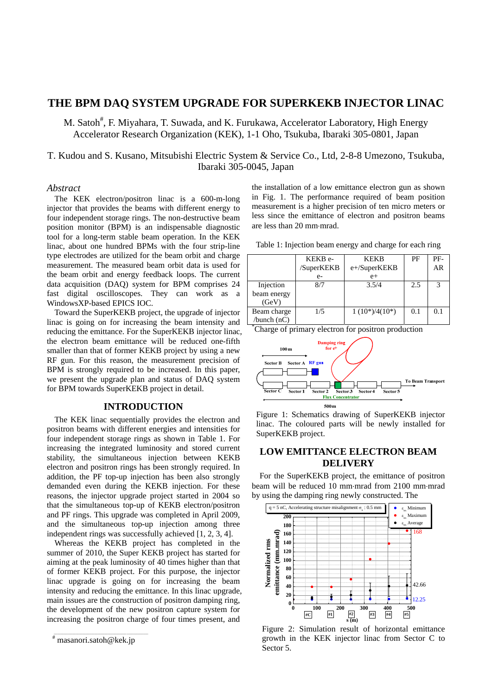# **THE BPM DAQ SYSTEM UPGRADE FOR SUPERKEKB INJECTOR LINAC**

M. Satoh<sup>#</sup>, F. Miyahara, T. Suwada, and K. Furukawa, Accelerator Laboratory, High Energy Accelerator Research Organization (KEK), 1-1 Oho, Tsukuba, Ibaraki 305-0801, Japan

T. Kudou and S. Kusano, Mitsubishi Electric System & Service Co., Ltd, 2-8-8 Umezono, Tsukuba, Ibaraki 305-0045, Japan

#### *Abstract*

The KEK electron/positron linac is a 600-m-long injector that provides the beams with different energy to four independent storage rings. The non-destructive beam position monitor (BPM) is an indispensable diagnostic tool for a long-term stable beam operation. In the KEK linac, about one hundred BPMs with the four strip-line type electrodes are utilized for the beam orbit and charge measurement. The measured beam orbit data is used for the beam orbit and energy feedback loops. The current data acquisition (DAQ) system for BPM comprises 24 fast digital oscilloscopes. They can work as a WindowsXP-based EPICS IOC.

Toward the SuperKEKB project, the upgrade of injector linac is going on for increasing the beam intensity and reducing the emittance. For the SuperKEKB injector linac, the electron beam emittance will be reduced one-fifth smaller than that of former KEKB project by using a new RF gun. For this reason, the measurement precision of BPM is strongly required to be increased. In this paper, we present the upgrade plan and status of DAQ system for BPM towards SuperKEKB project in detail.

# **INTRODUCTION**

The KEK linac sequentially provides the electron and positron beams with different energies and intensities for four independent storage rings as shown in Table 1. For increasing the integrated luminosity and stored current stability, the simultaneous injection between KEKB electron and positron rings has been strongly required. In addition, the PF top-up injection has been also strongly demanded even during the KEKB injection. For these reasons, the injector upgrade project started in 2004 so that the simultaneous top-up of KEKB electron/positron and PF rings. This upgrade was completed in April 2009, and the simultaneous top-up injection among three independent rings was successfully achieved [1, 2, 3, 4].

Whereas the KEKB project has completed in the summer of 2010, the Super KEKB project has started for aiming at the peak luminosity of 40 times higher than that of former KEKB project. For this purpose, the injector linac upgrade is going on for increasing the beam intensity and reducing the emittance. In this linac upgrade, main issues are the construction of positron damping ring, the development of the new positron capture system for increasing the positron charge of four times present, and

the installation of a low emittance electron gun as shown in Fig. 1. The performance required of beam position measurement is a higher precision of ten micro meters or less since the emittance of electron and positron beams are less than 20 mm·mrad.

Table 1: Injection beam energy and charge for each ring

|             | KEKB <sub>e</sub> | <b>KEKB</b>       | PF  | PF- |
|-------------|-------------------|-------------------|-----|-----|
|             | /SuperKEKB        | e+/SuperKEKB      |     | AR  |
|             | $e-$              | $e+$              |     |     |
| Injection   | 8/7               | 3.5/4             | 2.5 |     |
| beam energy |                   |                   |     |     |
| (GeV)       |                   |                   |     |     |
| Beam charge | 1/5               | $1(10^*)/4(10^*)$ | 0.1 | 0.1 |
| /bunch (nC) |                   |                   |     |     |



Figure 1: Schematics drawing of SuperKEKB injector linac. The coloured parts will be newly installed for SuperKEKB project.

# **LOW EMITTANCE ELECTRON BEAM DELIVERY**

For the SuperKEKB project, the emittance of positron beam will be reduced 10 mm·mrad from 2100 mm·mrad by using the damping ring newly constructed. The



Figure 2: Simulation result of horizontal emittance growth in the KEK injector linac from Sector C to Sector 5.

\_\_\_\_\_\_\_\_\_\_\_\_\_\_\_\_\_\_\_\_\_\_\_\_\_\_\_\_\_\_\_\_\_\_\_\_\_\_\_\_\_\_\_ \_\_\_\_\_\_\_\_\_\_\_\_\_ # masanori.satoh@kek.jp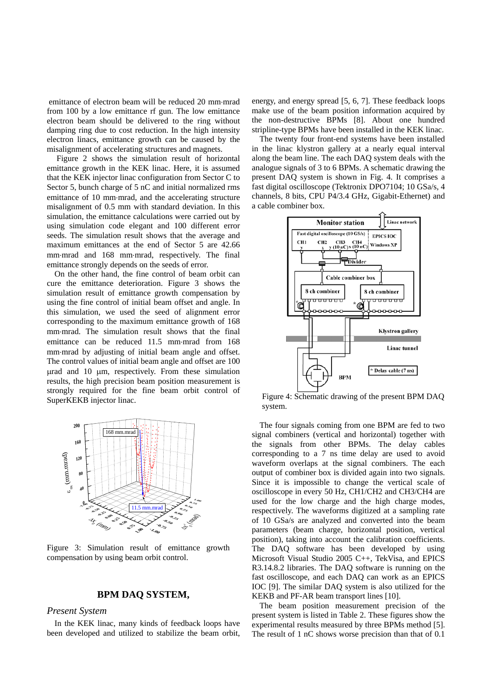emittance of electron beam will be reduced 20 mm·mrad from 100 by a low emittance rf gun. The low emittance electron beam should be delivered to the ring without damping ring due to cost reduction. In the high intensity electron linacs, emittance growth can be caused by the misalignment of accelerating structures and magnets.

 Figure 2 shows the simulation result of horizontal emittance growth in the KEK linac. Here, it is assumed that the KEK injector linac configuration from Sector C to Sector 5, bunch charge of 5 nC and initial normalized rms emittance of  $10 \text{ mm}$  mad, and the accelerating structure misalignment of 0.5 mm with standard deviation. In this simulation, the emittance calculations were carried out by using simulation code elegant and 100 different error seeds. The simulation result shows that the average and maximum emittances at the end of Sector 5 are 42.66 mm-mrad and 168 mm-mrad, respectively. The final emittance strongly depends on the seeds of error.

On the other hand, the fine control of beam orbit can cure the emittance deterioration. Figure 3 shows the simulation result of emittance growth compensation by using the fine control of initial beam offset and angle. In this simulation, we used the seed of alignment error corresponding to the maximum emittance growth of 168 mm-mrad. The simulation result shows that the final emittance can be reduced  $11.5$  mm·mrad from  $168$ mm·mrad by adjusting of initial beam angle and offset. The control values of initial beam angle and offset are 100  $\mu$  and 10  $\mu$ m, respectively. From these simulation results, the high precision beam position measurement is strongly required for the fine beam orbit control of SuperKEKB injector linac.



Figure 3: Simulation result of emittance growth compensation by using beam orbit control.

# **BPM DAQ SYSTEM,**

# *Present System*

In the KEK linac, many kinds of feedback loops have been developed and utilized to stabilize the beam orbit, energy, and energy spread [5, 6, 7]. These feedback loops make use of the beam position information acquired by the non-destructive BPMs [8]. About one hundred stripline-type BPMs have been installed in the KEK linac.

The twenty four front-end systems have been installed in the linac klystron gallery at a nearly equal interval along the beam line. The each DAQ system deals with the analogue signals of 3 to 6 BPMs. A schematic drawing the present DAQ system is shown in Fig. 4. It comprises a fast digital oscilloscope (Tektronix DPO7104; 10 GSa/s, 4 channels, 8 bits, CPU P4/3.4 GHz, Gigabit-Ethernet) and a cable combiner box.



Figure 4: Schematic drawing of the present BPM DAQ system.

The four signals coming from one BPM are fed to two signal combiners (vertical and horizontal) together with the signals from other BPMs. The delay cables corresponding to a 7 ns time delay are used to avoid waveform overlaps at the signal combiners. The each output of combiner box is divided again into two signals. Since it is impossible to change the vertical scale of oscilloscope in every 50 Hz, CH1/CH2 and CH3/CH4 are used for the low charge and the high charge modes, respectively. The waveforms digitized at a sampling rate of 10 GSa/s are analyzed and converted into the beam parameters (beam charge, horizontal position, vertical position), taking into account the calibration coefficients. The DAQ software has been developed by using Microsoft Visual Studio 2005 C++, TekVisa, and EPICS R3.14.8.2 libraries. The DAQ software is running on the fast oscilloscope, and each DAQ can work as an EPICS IOC [9]. The similar DAQ system is also utilized for the KEKB and PF-AR beam transport lines [10].

The beam position measurement precision of the present system is listed in Table 2. These figures show the experimental results measured by three BPMs method [5]. The result of 1 nC shows worse precision than that of 0.1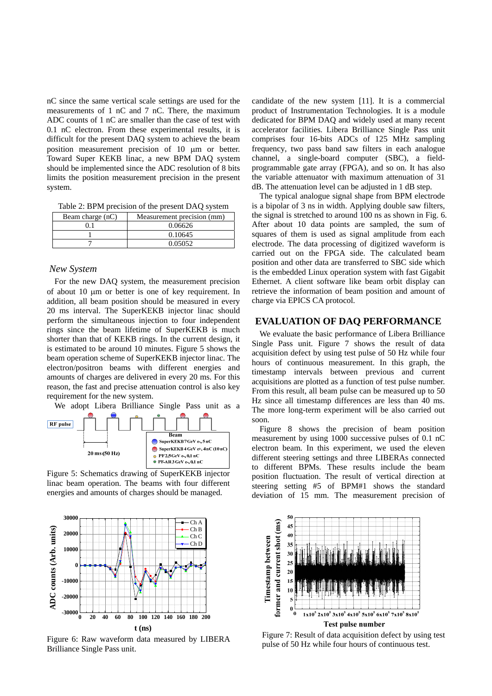nC since the same vertical scale settings are used for the measurements of 1 nC and 7 nC. There, the maximum ADC counts of 1 nC are smaller than the case of test with 0.1 nC electron. From these experimental results, it is difficult for the present DAQ system to achieve the beam position measurement precision of  $10 \mu m$  or better. Toward Super KEKB linac, a new BPM DAQ system should be implemented since the ADC resolution of 8 bits limits the position measurement precision in the present system.

Table 2: BPM precision of the present DAQ system

| Beam charge (nC) | Measurement precision (mm) |  |  |
|------------------|----------------------------|--|--|
|                  | 0.06626                    |  |  |
|                  | 0.10645                    |  |  |
|                  | 0.05052                    |  |  |

## *New System*

For the new DAQ system, the measurement precision of about  $10 \mu m$  or better is one of key requirement. In addition, all beam position should be measured in every 20 ms interval. The SuperKEKB injector linac should perform the simultaneous injection to four independent rings since the beam lifetime of SuperKEKB is much shorter than that of KEKB rings. In the current design, it is estimated to be around 10 minutes. Figure 5 shows the beam operation scheme of SuperKEKB injector linac. The electron/positron beams with different energies and amounts of charges are delivered in every 20 ms. For this reason, the fast and precise attenuation control is also key requirement for the new system.





Figure 5: Schematics drawing of SuperKEKB injector linac beam operation. The beams with four different energies and amounts of charges should be managed.



Figure 6: Raw waveform data measured by LIBERA Brilliance Single Pass unit.

candidate of the new system [11]. It is a commercial product of Instrumentation Technologies. It is a module dedicated for BPM DAQ and widely used at many recent accelerator facilities. Libera Brilliance Single Pass unit comprises four 16-bits ADCs of 125 MHz sampling frequency, two pass band saw filters in each analogue channel, a single-board computer (SBC), a fieldprogrammable gate array (FPGA), and so on. It has also the variable attenuator with maximum attenuation of 31 dB. The attenuation level can be adjusted in 1 dB step.

The typical analogue signal shape from BPM electrode is a bipolar of 3 ns in width. Applying double saw filters, the signal is stretched to around 100 ns as shown in Fig. 6. After about 10 data points are sampled, the sum of squares of them is used as signal amplitude from each electrode. The data processing of digitized waveform is carried out on the FPGA side. The calculated beam position and other data are transferred to SBC side which is the embedded Linux operation system with fast Gigabit Ethernet. A client software like beam orbit display can retrieve the information of beam position and amount of charge via EPICS CA protocol.

#### **EVALUATION OF DAQ PERFORMANCE**

We evaluate the basic performance of Libera Brilliance Single Pass unit. Figure 7 shows the result of data acquisition defect by using test pulse of 50 Hz while four hours of continuous measurement. In this graph, the timestamp intervals between previous and current acquisitions are plotted as a function of test pulse number. From this result, all beam pulse can be measured up to 50 Hz since all timestamp differences are less than 40 ms. The more long-term experiment will be also carried out soon.

Figure 8 shows the precision of beam position measurement by using 1000 successive pulses of 0.1 nC electron beam. In this experiment, we used the eleven different steering settings and three LIBERAs connected to different BPMs. These results include the beam position fluctuation. The result of vertical direction at steering setting #5 of BPM#1 shows the standard deviation of 15 mm. The measurement precision of



Figure 7: Result of data acquisition defect by using test pulse of 50 Hz while four hours of continuous test.